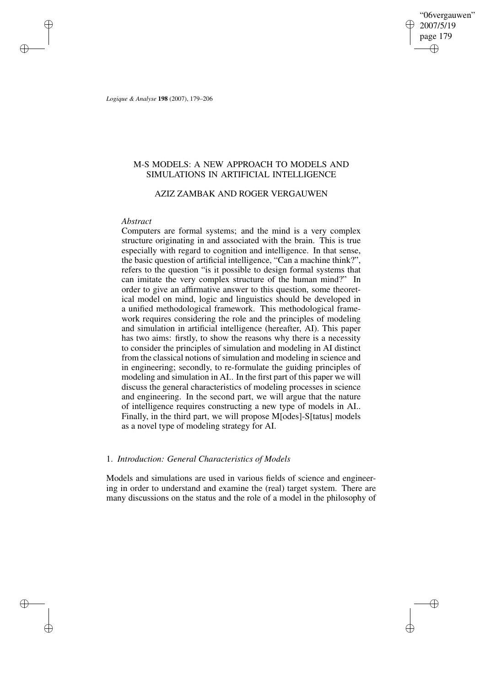"06vergauwen" 2007/5/19 page 179 ✐ ✐

✐

✐

*Logique & Analyse* **198** (2007), 179–206

✐

✐

✐

✐

# M-S MODELS: A NEW APPROACH TO MODELS AND SIMULATIONS IN ARTIFICIAL INTELLIGENCE

# AZIZ ZAMBAK AND ROGER VERGAUWEN

## *Abstract*

Computers are formal systems; and the mind is a very complex structure originating in and associated with the brain. This is true especially with regard to cognition and intelligence. In that sense, the basic question of artificial intelligence, "Can a machine think?", refers to the question "is it possible to design formal systems that can imitate the very complex structure of the human mind?" In order to give an affirmative answer to this question, some theoretical model on mind, logic and linguistics should be developed in a unified methodological framework. This methodological framework requires considering the role and the principles of modeling and simulation in artificial intelligence (hereafter, AI). This paper has two aims: firstly, to show the reasons why there is a necessity to consider the principles of simulation and modeling in AI distinct from the classical notions of simulation and modeling in science and in engineering; secondly, to re-formulate the guiding principles of modeling and simulation in AI.. In the first part of this paper we will discuss the general characteristics of modeling processes in science and engineering. In the second part, we will argue that the nature of intelligence requires constructing a new type of models in AI.. Finally, in the third part, we will propose M[odes]-S[tatus] models as a novel type of modeling strategy for AI.

# 1. *Introduction: General Characteristics of Models*

Models and simulations are used in various fields of science and engineering in order to understand and examine the (real) target system. There are many discussions on the status and the role of a model in the philosophy of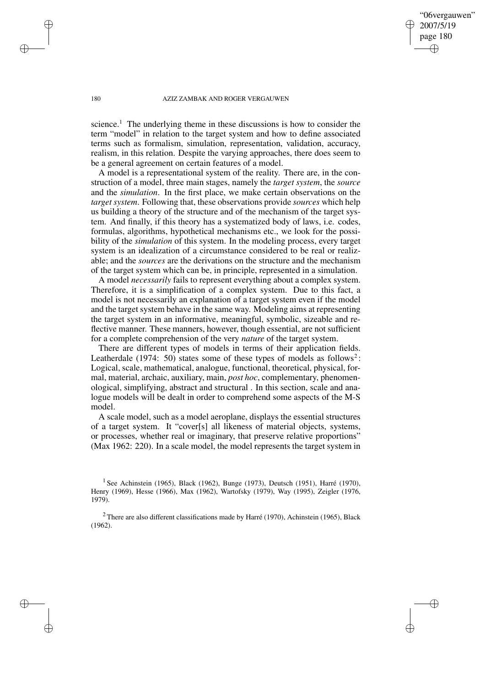"06vergauwen" 2007/5/19 page 180

✐

✐

✐

✐

science.<sup>1</sup> The underlying theme in these discussions is how to consider the term "model" in relation to the target system and how to define associated terms such as formalism, simulation, representation, validation, accuracy, realism, in this relation. Despite the varying approaches, there does seem to be a general agreement on certain features of a model.

A model is a representational system of the reality. There are, in the construction of a model, three main stages, namely the *target system*, the *source* and the *simulation*. In the first place, we make certain observations on the *target system*. Following that, these observations provide *sources* which help us building a theory of the structure and of the mechanism of the target system. And finally, if this theory has a systematized body of laws, i.e. codes, formulas, algorithms, hypothetical mechanisms etc., we look for the possibility of the *simulation* of this system. In the modeling process, every target system is an idealization of a circumstance considered to be real or realizable; and the *sources* are the derivations on the structure and the mechanism of the target system which can be, in principle, represented in a simulation.

A model *necessarily* fails to represent everything about a complex system. Therefore, it is a simplification of a complex system. Due to this fact, a model is not necessarily an explanation of a target system even if the model and the target system behave in the same way. Modeling aims at representing the target system in an informative, meaningful, symbolic, sizeable and reflective manner. These manners, however, though essential, are not sufficient for a complete comprehension of the very *nature* of the target system.

There are different types of models in terms of their application fields. Leatherdale (1974: 50) states some of these types of models as follows<sup>2</sup>: Logical, scale, mathematical, analogue, functional, theoretical, physical, formal, material, archaic, auxiliary, main, *post hoc*, complementary, phenomenological, simplifying, abstract and structural . In this section, scale and analogue models will be dealt in order to comprehend some aspects of the M-S model.

A scale model, such as a model aeroplane, displays the essential structures of a target system. It "cover[s] all likeness of material objects, systems, or processes, whether real or imaginary, that preserve relative proportions" (Max 1962: 220). In a scale model, the model represents the target system in

✐

✐

✐

<sup>&</sup>lt;sup>1</sup> See Achinstein (1965), Black (1962), Bunge (1973), Deutsch (1951), Harré (1970), Henry (1969), Hesse (1966), Max (1962), Wartofsky (1979), Way (1995), Zeigler (1976, 1979).

 $2$  There are also different classifications made by Harré (1970), Achinstein (1965), Black (1962).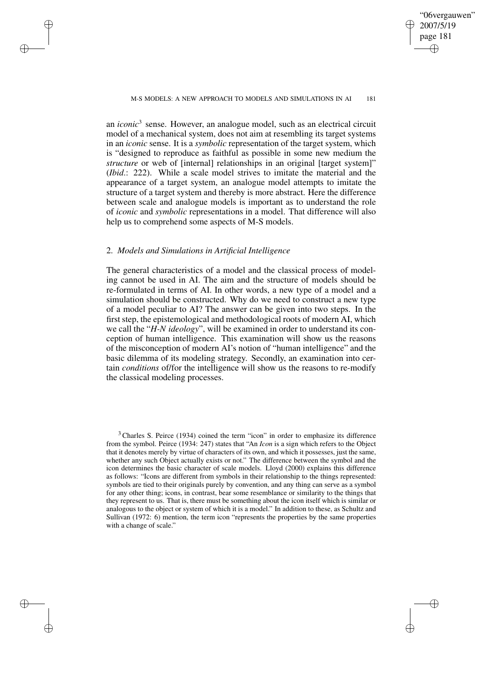✐

#### M-S MODELS: A NEW APPROACH TO MODELS AND SIMULATIONS IN AI 181

an *iconic*<sup>3</sup> sense. However, an analogue model, such as an electrical circuit model of a mechanical system, does not aim at resembling its target systems in an *iconic* sense. It is a *symbolic* representation of the target system, which is "designed to reproduce as faithful as possible in some new medium the *structure* or web of [internal] relationships in an original [target system]" (*Ibid*.: 222). While a scale model strives to imitate the material and the appearance of a target system, an analogue model attempts to imitate the structure of a target system and thereby is more abstract. Here the difference between scale and analogue models is important as to understand the role of *iconic* and *symbolic* representations in a model. That difference will also help us to comprehend some aspects of M-S models.

## 2. *Models and Simulations in Artificial Intelligence*

✐

✐

✐

✐

The general characteristics of a model and the classical process of modeling cannot be used in AI. The aim and the structure of models should be re-formulated in terms of AI. In other words, a new type of a model and a simulation should be constructed. Why do we need to construct a new type of a model peculiar to AI? The answer can be given into two steps. In the first step, the epistemological and methodological roots of modern AI, which we call the "*H-N ideology*", will be examined in order to understand its conception of human intelligence. This examination will show us the reasons of the misconception of modern AI's notion of "human intelligence" and the basic dilemma of its modeling strategy. Secondly, an examination into certain *conditions* of/for the intelligence will show us the reasons to re-modify the classical modeling processes.

 $3$  Charles S. Peirce (1934) coined the term "icon" in order to emphasize its difference from the symbol. Peirce (1934: 247) states that "An *Icon* is a sign which refers to the Object that it denotes merely by virtue of characters of its own, and which it possesses, just the same, whether any such Object actually exists or not." The difference between the symbol and the icon determines the basic character of scale models. Lloyd (2000) explains this difference as follows: "Icons are different from symbols in their relationship to the things represented: symbols are tied to their originals purely by convention, and any thing can serve as a symbol for any other thing; icons, in contrast, bear some resemblance or similarity to the things that they represent to us. That is, there must be something about the icon itself which is similar or analogous to the object or system of which it is a model." In addition to these, as Schultz and Sullivan (1972: 6) mention, the term icon "represents the properties by the same properties with a change of scale."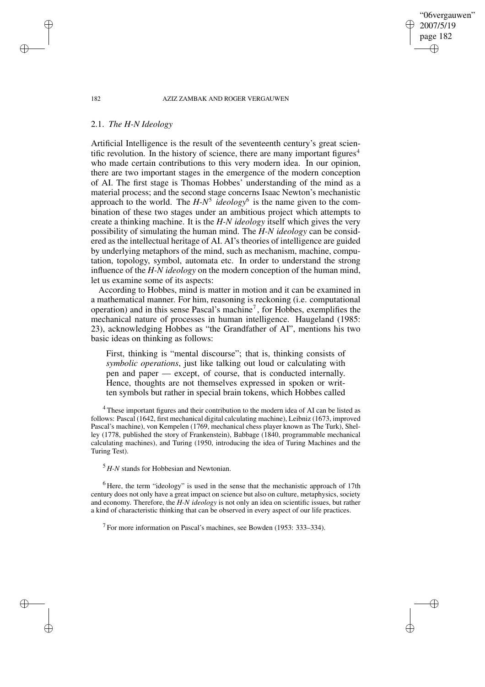"06vergauwen" 2007/5/19 page 182

✐

✐

✐

✐

# 2.1. *The H-N Ideology*

Artificial Intelligence is the result of the seventeenth century's great scientific revolution. In the history of science, there are many important figures<sup>4</sup> who made certain contributions to this very modern idea. In our opinion, there are two important stages in the emergence of the modern conception of AI. The first stage is Thomas Hobbes' understanding of the mind as a material process; and the second stage concerns Isaac Newton's mechanistic approach to the world. The *H-N<sup>5</sup>* ideology<sup>6</sup> is the name given to the combination of these two stages under an ambitious project which attempts to create a thinking machine. It is the *H-N ideology* itself which gives the very possibility of simulating the human mind. The *H-N ideology* can be considered as the intellectual heritage of AI. AI's theories of intelligence are guided by underlying metaphors of the mind, such as mechanism, machine, computation, topology, symbol, automata etc. In order to understand the strong influence of the *H-N ideology* on the modern conception of the human mind, let us examine some of its aspects:

According to Hobbes, mind is matter in motion and it can be examined in a mathematical manner. For him, reasoning is reckoning (i.e. computational operation) and in this sense Pascal's machine<sup>7</sup>, for Hobbes, exemplifies the mechanical nature of processes in human intelligence. Haugeland (1985: 23), acknowledging Hobbes as "the Grandfather of AI", mentions his two basic ideas on thinking as follows:

First, thinking is "mental discourse"; that is, thinking consists of *symbolic operations*, just like talking out loud or calculating with pen and paper — except, of course, that is conducted internally. Hence, thoughts are not themselves expressed in spoken or written symbols but rather in special brain tokens, which Hobbes called

<sup>4</sup> These important figures and their contribution to the modern idea of AI can be listed as follows: Pascal (1642, first mechanical digital calculating machine), Leibniz (1673, improved Pascal's machine), von Kempelen (1769, mechanical chess player known as The Turk), Shelley (1778, published the story of Frankenstein), Babbage (1840, programmable mechanical calculating machines), and Turing (1950, introducing the idea of Turing Machines and the Turing Test).

<sup>5</sup> *H-N* stands for Hobbesian and Newtonian.

<sup>6</sup> Here, the term "ideology" is used in the sense that the mechanistic approach of 17th century does not only have a great impact on science but also on culture, metaphysics, society and economy. Therefore, the *H-N ideology* is not only an idea on scientific issues, but rather a kind of characteristic thinking that can be observed in every aspect of our life practices.

 $<sup>7</sup>$  For more information on Pascal's machines, see Bowden (1953: 333–334).</sup>

✐

✐

✐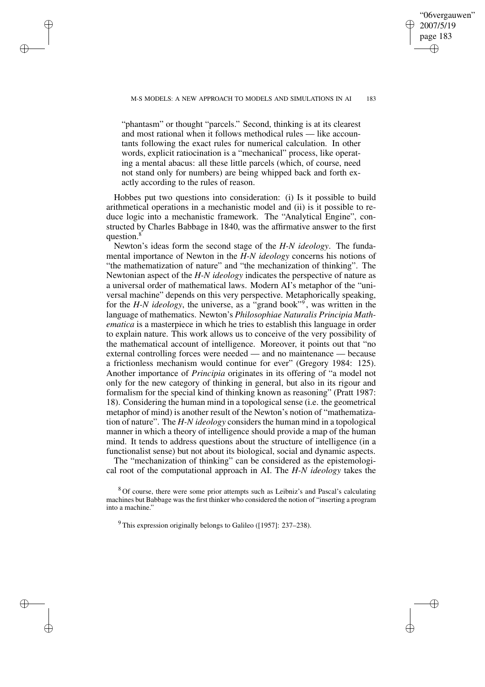✐

✐

✐

✐

✐

"06vergauwen" 2007/5/19 page 183

✐

✐

"phantasm" or thought "parcels." Second, thinking is at its clearest and most rational when it follows methodical rules — like accountants following the exact rules for numerical calculation. In other words, explicit ratiocination is a "mechanical" process, like operating a mental abacus: all these little parcels (which, of course, need not stand only for numbers) are being whipped back and forth exactly according to the rules of reason.

Hobbes put two questions into consideration: (i) Is it possible to build arithmetical operations in a mechanistic model and (ii) is it possible to reduce logic into a mechanistic framework. The "Analytical Engine", constructed by Charles Babbage in 1840, was the affirmative answer to the first question.<sup>8</sup>

Newton's ideas form the second stage of the *H-N ideology*. The fundamental importance of Newton in the *H-N ideology* concerns his notions of "the mathematization of nature" and "the mechanization of thinking". The Newtonian aspect of the *H-N ideology* indicates the perspective of nature as a universal order of mathematical laws. Modern AI's metaphor of the "universal machine" depends on this very perspective. Metaphorically speaking, for the *H-N ideology*, the universe, as a "grand book"<sup>9</sup> , was written in the language of mathematics. Newton's *Philosophiae Naturalis Principia Mathematica* is a masterpiece in which he tries to establish this language in order to explain nature. This work allows us to conceive of the very possibility of the mathematical account of intelligence. Moreover, it points out that "no external controlling forces were needed — and no maintenance — because a frictionless mechanism would continue for ever" (Gregory 1984: 125). Another importance of *Principia* originates in its offering of "a model not only for the new category of thinking in general, but also in its rigour and formalism for the special kind of thinking known as reasoning" (Pratt 1987: 18). Considering the human mind in a topological sense (i.e. the geometrical metaphor of mind) is another result of the Newton's notion of "mathematization of nature". The *H-N ideology* considers the human mind in a topological manner in which a theory of intelligence should provide a map of the human mind. It tends to address questions about the structure of intelligence (in a functionalist sense) but not about its biological, social and dynamic aspects.

The "mechanization of thinking" can be considered as the epistemological root of the computational approach in AI. The *H-N ideology* takes the

<sup>8</sup> Of course, there were some prior attempts such as Leibniz's and Pascal's calculating machines but Babbage was the first thinker who considered the notion of "inserting a program into a machine.'

 $9$  This expression originally belongs to Galileo ([1957]: 237–238).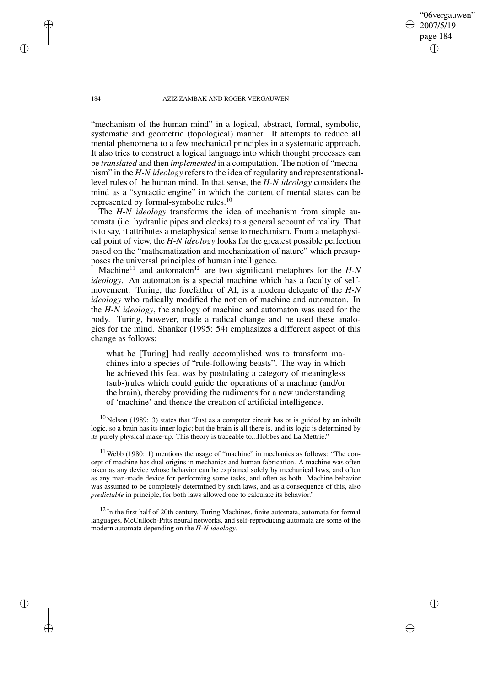"06vergauwen" 2007/5/19 page 184

✐

✐

✐

✐

"mechanism of the human mind" in a logical, abstract, formal, symbolic, systematic and geometric (topological) manner. It attempts to reduce all mental phenomena to a few mechanical principles in a systematic approach. It also tries to construct a logical language into which thought processes can be *translated* and then *implemented* in a computation. The notion of "mechanism" in the *H-N ideology* refers to the idea of regularity and representationallevel rules of the human mind. In that sense, the *H-N ideology* considers the mind as a "syntactic engine" in which the content of mental states can be represented by formal-symbolic rules.<sup>10</sup>

The *H-N ideology* transforms the idea of mechanism from simple automata (i.e. hydraulic pipes and clocks) to a general account of reality. That is to say, it attributes a metaphysical sense to mechanism. From a metaphysical point of view, the *H-N ideology* looks for the greatest possible perfection based on the "mathematization and mechanization of nature" which presupposes the universal principles of human intelligence.

Machine<sup>11</sup> and automaton<sup>12</sup> are two significant metaphors for the  $H-N$ *ideology*. An automaton is a special machine which has a faculty of selfmovement. Turing, the forefather of AI, is a modern delegate of the *H-N ideology* who radically modified the notion of machine and automaton. In the *H-N ideology*, the analogy of machine and automaton was used for the body. Turing, however, made a radical change and he used these analogies for the mind. Shanker (1995: 54) emphasizes a different aspect of this change as follows:

what he [Turing] had really accomplished was to transform machines into a species of "rule-following beasts". The way in which he achieved this feat was by postulating a category of meaningless (sub-)rules which could guide the operations of a machine (and/or the brain), thereby providing the rudiments for a new understanding of 'machine' and thence the creation of artificial intelligence.

 $10$  Nelson (1989: 3) states that "Just as a computer circuit has or is guided by an inbuilt logic, so a brain has its inner logic; but the brain is all there is, and its logic is determined by its purely physical make-up. This theory is traceable to...Hobbes and La Mettrie."

 $11$  Webb (1980: 1) mentions the usage of "machine" in mechanics as follows: "The concept of machine has dual origins in mechanics and human fabrication. A machine was often taken as any device whose behavior can be explained solely by mechanical laws, and often as any man-made device for performing some tasks, and often as both. Machine behavior was assumed to be completely determined by such laws, and as a consequence of this, also *predictable* in principle, for both laws allowed one to calculate its behavior."

<sup>12</sup> In the first half of 20th century, Turing Machines, finite automata, automata for formal languages, McCulloch-Pitts neural networks, and self-reproducing automata are some of the modern automata depending on the *H-N ideology*.

✐

✐

✐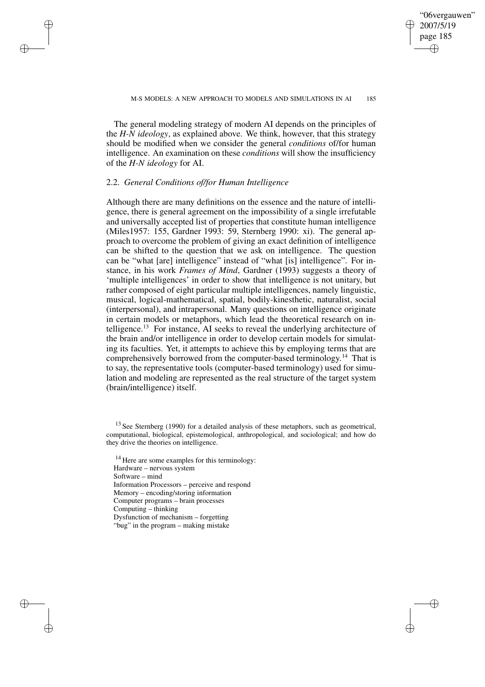✐

The general modeling strategy of modern AI depends on the principles of the *H-N ideology*, as explained above. We think, however, that this strategy should be modified when we consider the general *conditions* of/for human intelligence. An examination on these *conditions* will show the insufficiency of the *H-N ideology* for AI.

## 2.2. *General Conditions of/for Human Intelligence*

✐

✐

✐

✐

Although there are many definitions on the essence and the nature of intelligence, there is general agreement on the impossibility of a single irrefutable and universally accepted list of properties that constitute human intelligence (Miles1957: 155, Gardner 1993: 59, Sternberg 1990: xi). The general approach to overcome the problem of giving an exact definition of intelligence can be shifted to the question that we ask on intelligence. The question can be "what [are] intelligence" instead of "what [is] intelligence". For instance, in his work *Frames of Mind*, Gardner (1993) suggests a theory of 'multiple intelligences' in order to show that intelligence is not unitary, but rather composed of eight particular multiple intelligences, namely linguistic, musical, logical-mathematical, spatial, bodily-kinesthetic, naturalist, social (interpersonal), and intrapersonal. Many questions on intelligence originate in certain models or metaphors, which lead the theoretical research on intelligence.<sup>13</sup> For instance, AI seeks to reveal the underlying architecture of the brain and/or intelligence in order to develop certain models for simulating its faculties. Yet, it attempts to achieve this by employing terms that are comprehensively borrowed from the computer-based terminology. <sup>14</sup> That is to say, the representative tools (computer-based terminology) used for simulation and modeling are represented as the real structure of the target system (brain/intelligence) itself.

<sup>14</sup> Here are some examples for this terminology: Hardware – nervous system Software – mind Information Processors – perceive and respond Memory – encoding/storing information Computer programs – brain processes Computing – thinking Dysfunction of mechanism – forgetting "bug" in the program – making mistake

 $13$  See Sternberg (1990) for a detailed analysis of these metaphors, such as geometrical, computational, biological, epistemological, anthropological, and sociological; and how do they drive the theories on intelligence.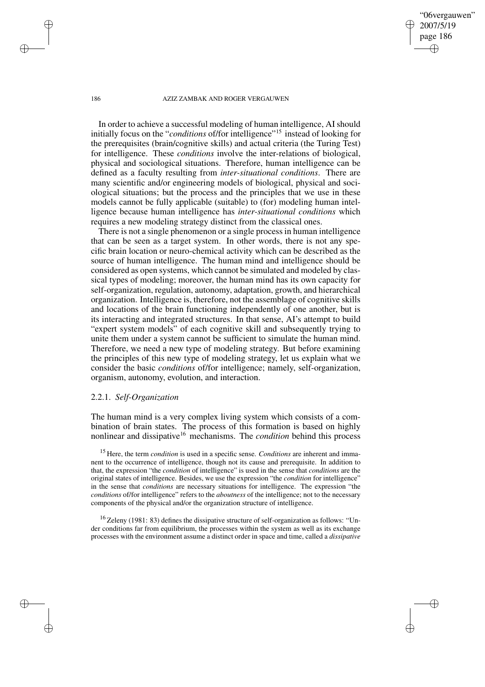"06vergauwen" 2007/5/19 page 186 ✐ ✐

✐

✐

#### 186 AZIZ ZAMBAK AND ROGER VERGAUWEN

In order to achieve a successful modeling of human intelligence, AI should initially focus on the "*conditions* of/for intelligence"<sup>15</sup> instead of looking for the prerequisites (brain/cognitive skills) and actual criteria (the Turing Test) for intelligence. These *conditions* involve the inter-relations of biological, physical and sociological situations. Therefore, human intelligence can be defined as a faculty resulting from *inter-situational conditions*. There are many scientific and/or engineering models of biological, physical and sociological situations; but the process and the principles that we use in these models cannot be fully applicable (suitable) to (for) modeling human intelligence because human intelligence has *inter-situational conditions* which requires a new modeling strategy distinct from the classical ones.

There is not a single phenomenon or a single process in human intelligence that can be seen as a target system. In other words, there is not any specific brain location or neuro-chemical activity which can be described as the source of human intelligence. The human mind and intelligence should be considered as open systems, which cannot be simulated and modeled by classical types of modeling; moreover, the human mind has its own capacity for self-organization, regulation, autonomy, adaptation, growth, and hierarchical organization. Intelligence is, therefore, not the assemblage of cognitive skills and locations of the brain functioning independently of one another, but is its interacting and integrated structures. In that sense, AI's attempt to build "expert system models" of each cognitive skill and subsequently trying to unite them under a system cannot be sufficient to simulate the human mind. Therefore, we need a new type of modeling strategy. But before examining the principles of this new type of modeling strategy, let us explain what we consider the basic *conditions* of/for intelligence; namely, self-organization, organism, autonomy, evolution, and interaction.

## 2.2.1. *Self-Organization*

The human mind is a very complex living system which consists of a combination of brain states. The process of this formation is based on highly nonlinear and dissipative <sup>16</sup> mechanisms. The *condition* behind this process

<sup>15</sup> Here, the term *condition* is used in a specific sense. *Conditions* are inherent and immanent to the occurrence of intelligence, though not its cause and prerequisite. In addition to that, the expression "the *condition* of intelligence" is used in the sense that *conditions* are the original states of intelligence. Besides, we use the expression "the *condition* for intelligence" in the sense that *conditions* are necessary situations for intelligence. The expression "the *conditions* of/for intelligence" refers to the *aboutness* of the intelligence; not to the necessary components of the physical and/or the organization structure of intelligence.

<sup>16</sup> Zeleny (1981: 83) defines the dissipative structure of self-organization as follows: "Under conditions far from equilibrium, the processes within the system as well as its exchange processes with the environment assume a distinct order in space and time, called a *dissipative*

✐

✐

✐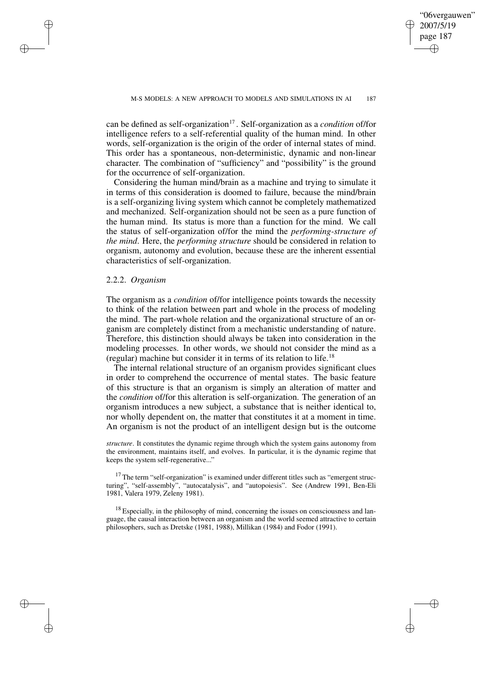✐

can be defined as self-organization<sup>17</sup>. Self-organization as a *condition* of/for intelligence refers to a self-referential quality of the human mind. In other words, self-organization is the origin of the order of internal states of mind. This order has a spontaneous, non-deterministic, dynamic and non-linear character. The combination of "sufficiency" and "possibility" is the ground for the occurrence of self-organization.

Considering the human mind/brain as a machine and trying to simulate it in terms of this consideration is doomed to failure, because the mind/brain is a self-organizing living system which cannot be completely mathematized and mechanized. Self-organization should not be seen as a pure function of the human mind. Its status is more than a function for the mind. We call the status of self-organization of/for the mind the *performing-structure of the mind*. Here, the *performing structure* should be considered in relation to organism, autonomy and evolution, because these are the inherent essential characteristics of self-organization.

# 2.2.2. *Organism*

✐

✐

✐

✐

The organism as a *condition* of/for intelligence points towards the necessity to think of the relation between part and whole in the process of modeling the mind. The part-whole relation and the organizational structure of an organism are completely distinct from a mechanistic understanding of nature. Therefore, this distinction should always be taken into consideration in the modeling processes. In other words, we should not consider the mind as a (regular) machine but consider it in terms of its relation to life.<sup>18</sup>

The internal relational structure of an organism provides significant clues in order to comprehend the occurrence of mental states. The basic feature of this structure is that an organism is simply an alteration of matter and the *condition* of/for this alteration is self-organization. The generation of an organism introduces a new subject, a substance that is neither identical to, nor wholly dependent on, the matter that constitutes it at a moment in time. An organism is not the product of an intelligent design but is the outcome

*structure*. It constitutes the dynamic regime through which the system gains autonomy from the environment, maintains itself, and evolves. In particular, it is the dynamic regime that keeps the system self-regenerative..."

 $17$  The term "self-organization" is examined under different titles such as "emergent structuring", "self-assembly", "autocatalysis", and "autopoiesis". See (Andrew 1991, Ben-Eli 1981, Valera 1979, Zeleny 1981).

 $18$  Especially, in the philosophy of mind, concerning the issues on consciousness and language, the causal interaction between an organism and the world seemed attractive to certain philosophers, such as Dretske (1981, 1988), Millikan (1984) and Fodor (1991).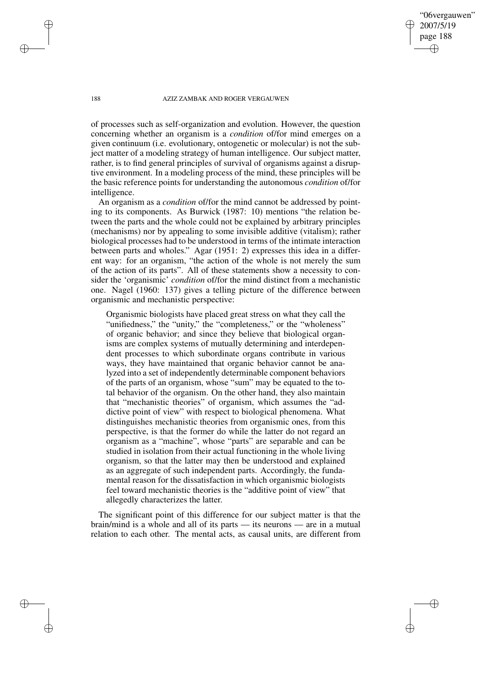"06vergauwen" 2007/5/19 page 188 ✐ ✐

✐

✐

#### 188 AZIZ ZAMBAK AND ROGER VERGAUWEN

of processes such as self-organization and evolution. However, the question concerning whether an organism is a *condition* of/for mind emerges on a given continuum (i.e. evolutionary, ontogenetic or molecular) is not the subject matter of a modeling strategy of human intelligence. Our subject matter, rather, is to find general principles of survival of organisms against a disruptive environment. In a modeling process of the mind, these principles will be the basic reference points for understanding the autonomous *condition* of/for intelligence.

An organism as a *condition* of/for the mind cannot be addressed by pointing to its components. As Burwick (1987: 10) mentions "the relation between the parts and the whole could not be explained by arbitrary principles (mechanisms) nor by appealing to some invisible additive (vitalism); rather biological processes had to be understood in terms of the intimate interaction between parts and wholes." Agar (1951: 2) expresses this idea in a different way: for an organism, "the action of the whole is not merely the sum of the action of its parts". All of these statements show a necessity to consider the 'organismic' *condition* of/for the mind distinct from a mechanistic one. Nagel (1960: 137) gives a telling picture of the difference between organismic and mechanistic perspective:

Organismic biologists have placed great stress on what they call the "unifiedness," the "unity," the "completeness," or the "wholeness" of organic behavior; and since they believe that biological organisms are complex systems of mutually determining and interdependent processes to which subordinate organs contribute in various ways, they have maintained that organic behavior cannot be analyzed into a set of independently determinable component behaviors of the parts of an organism, whose "sum" may be equated to the total behavior of the organism. On the other hand, they also maintain that "mechanistic theories" of organism, which assumes the "addictive point of view" with respect to biological phenomena. What distinguishes mechanistic theories from organismic ones, from this perspective, is that the former do while the latter do not regard an organism as a "machine", whose "parts" are separable and can be studied in isolation from their actual functioning in the whole living organism, so that the latter may then be understood and explained as an aggregate of such independent parts. Accordingly, the fundamental reason for the dissatisfaction in which organismic biologists feel toward mechanistic theories is the "additive point of view" that allegedly characterizes the latter.

The significant point of this difference for our subject matter is that the brain/mind is a whole and all of its parts — its neurons — are in a mutual relation to each other. The mental acts, as causal units, are different from

✐

✐

✐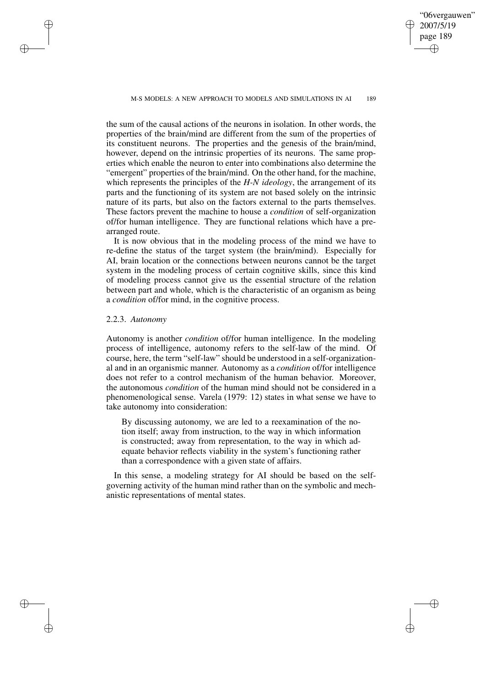M-S MODELS: A NEW APPROACH TO MODELS AND SIMULATIONS IN AI 189

the sum of the causal actions of the neurons in isolation. In other words, the properties of the brain/mind are different from the sum of the properties of its constituent neurons. The properties and the genesis of the brain/mind, however, depend on the intrinsic properties of its neurons. The same properties which enable the neuron to enter into combinations also determine the "emergent" properties of the brain/mind. On the other hand, for the machine, which represents the principles of the *H-N ideology*, the arrangement of its parts and the functioning of its system are not based solely on the intrinsic nature of its parts, but also on the factors external to the parts themselves. These factors prevent the machine to house a *condition* of self-organization of/for human intelligence. They are functional relations which have a prearranged route.

It is now obvious that in the modeling process of the mind we have to re-define the status of the target system (the brain/mind). Especially for AI, brain location or the connections between neurons cannot be the target system in the modeling process of certain cognitive skills, since this kind of modeling process cannot give us the essential structure of the relation between part and whole, which is the characteristic of an organism as being a *condition* of/for mind, in the cognitive process.

# 2.2.3. *Autonomy*

✐

✐

✐

✐

Autonomy is another *condition* of/for human intelligence. In the modeling process of intelligence, autonomy refers to the self-law of the mind. Of course, here, the term "self-law" should be understood in a self-organizational and in an organismic manner. Autonomy as a *condition* of/for intelligence does not refer to a control mechanism of the human behavior. Moreover, the autonomous *condition* of the human mind should not be considered in a phenomenological sense. Varela (1979: 12) states in what sense we have to take autonomy into consideration:

By discussing autonomy, we are led to a reexamination of the notion itself; away from instruction, to the way in which information is constructed; away from representation, to the way in which adequate behavior reflects viability in the system's functioning rather than a correspondence with a given state of affairs.

In this sense, a modeling strategy for AI should be based on the selfgoverning activity of the human mind rather than on the symbolic and mechanistic representations of mental states.

"06vergauwen" 2007/5/19 page 189 ✐ ✐

✐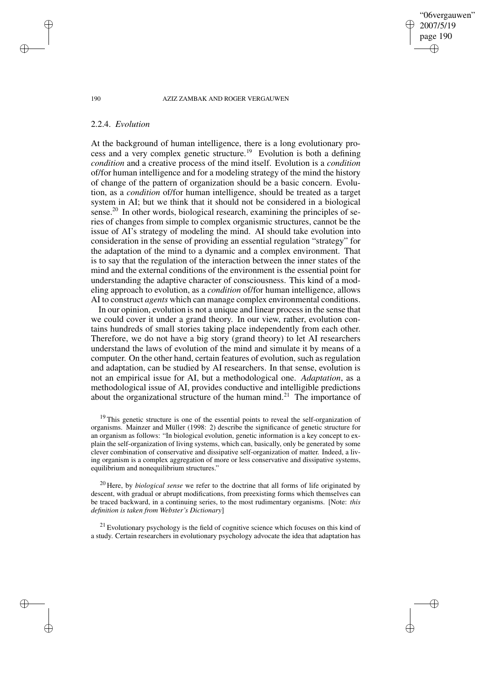2007/5/19 page 190 ✐ ✐

✐

✐

"06vergauwen"

#### 190 AZIZ ZAMBAK AND ROGER VERGAUWEN

# 2.2.4. *Evolution*

At the background of human intelligence, there is a long evolutionary process and a very complex genetic structure.<sup>19</sup> Evolution is both a defining *condition* and a creative process of the mind itself. Evolution is a *condition* of/for human intelligence and for a modeling strategy of the mind the history of change of the pattern of organization should be a basic concern. Evolution, as a *condition* of/for human intelligence, should be treated as a target system in AI; but we think that it should not be considered in a biological sense.<sup>20</sup> In other words, biological research, examining the principles of series of changes from simple to complex organismic structures, cannot be the issue of AI's strategy of modeling the mind. AI should take evolution into consideration in the sense of providing an essential regulation "strategy" for the adaptation of the mind to a dynamic and a complex environment. That is to say that the regulation of the interaction between the inner states of the mind and the external conditions of the environment is the essential point for understanding the adaptive character of consciousness. This kind of a modeling approach to evolution, as a *condition* of/for human intelligence, allows AI to construct *agents* which can manage complex environmental conditions.

In our opinion, evolution is not a unique and linear process in the sense that we could cover it under a grand theory. In our view, rather, evolution contains hundreds of small stories taking place independently from each other. Therefore, we do not have a big story (grand theory) to let AI researchers understand the laws of evolution of the mind and simulate it by means of a computer. On the other hand, certain features of evolution, such as regulation and adaptation, can be studied by AI researchers. In that sense, evolution is not an empirical issue for AI, but a methodological one. *Adaptation*, as a methodological issue of AI, provides conductive and intelligible predictions about the organizational structure of the human mind.<sup>21</sup> The importance of

<sup>19</sup> This genetic structure is one of the essential points to reveal the self-organization of organisms. Mainzer and Müller (1998: 2) describe the significance of genetic structure for an organism as follows: "In biological evolution, genetic information is a key concept to explain the self-organization of living systems, which can, basically, only be generated by some clever combination of conservative and dissipative self-organization of matter. Indeed, a living organism is a complex aggregation of more or less conservative and dissipative systems, equilibrium and nonequilibrium structures."

<sup>20</sup> Here, by *biological sense* we refer to the doctrine that all forms of life originated by descent, with gradual or abrupt modifications, from preexisting forms which themselves can be traced backward, in a continuing series, to the most rudimentary organisms. [Note: *this definition is taken from Webster's Dictionary*]

 $21$  Evolutionary psychology is the field of cognitive science which focuses on this kind of a study. Certain researchers in evolutionary psychology advocate the idea that adaptation has

✐

✐

✐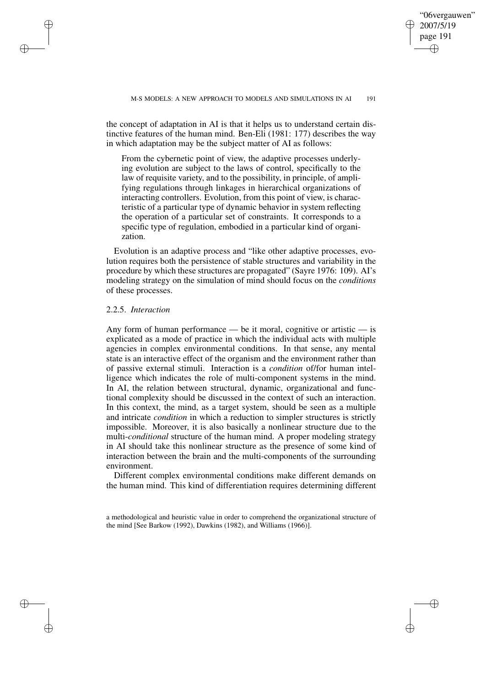✐

the concept of adaptation in AI is that it helps us to understand certain distinctive features of the human mind. Ben-Eli (1981: 177) describes the way in which adaptation may be the subject matter of AI as follows:

From the cybernetic point of view, the adaptive processes underlying evolution are subject to the laws of control, specifically to the law of requisite variety, and to the possibility, in principle, of amplifying regulations through linkages in hierarchical organizations of interacting controllers. Evolution, from this point of view, is characteristic of a particular type of dynamic behavior in system reflecting the operation of a particular set of constraints. It corresponds to a specific type of regulation, embodied in a particular kind of organization.

Evolution is an adaptive process and "like other adaptive processes, evolution requires both the persistence of stable structures and variability in the procedure by which these structures are propagated" (Sayre 1976: 109). AI's modeling strategy on the simulation of mind should focus on the *conditions* of these processes.

# 2.2.5. *Interaction*

✐

✐

✐

✐

Any form of human performance — be it moral, cognitive or artistic — is explicated as a mode of practice in which the individual acts with multiple agencies in complex environmental conditions. In that sense, any mental state is an interactive effect of the organism and the environment rather than of passive external stimuli. Interaction is a *condition* of/for human intelligence which indicates the role of multi-component systems in the mind. In AI, the relation between structural, dynamic, organizational and functional complexity should be discussed in the context of such an interaction. In this context, the mind, as a target system, should be seen as a multiple and intricate *condition* in which a reduction to simpler structures is strictly impossible. Moreover, it is also basically a nonlinear structure due to the multi-*conditional* structure of the human mind. A proper modeling strategy in AI should take this nonlinear structure as the presence of some kind of interaction between the brain and the multi-components of the surrounding environment.

Different complex environmental conditions make different demands on the human mind. This kind of differentiation requires determining different

a methodological and heuristic value in order to comprehend the organizational structure of the mind [See Barkow (1992), Dawkins (1982), and Williams (1966)].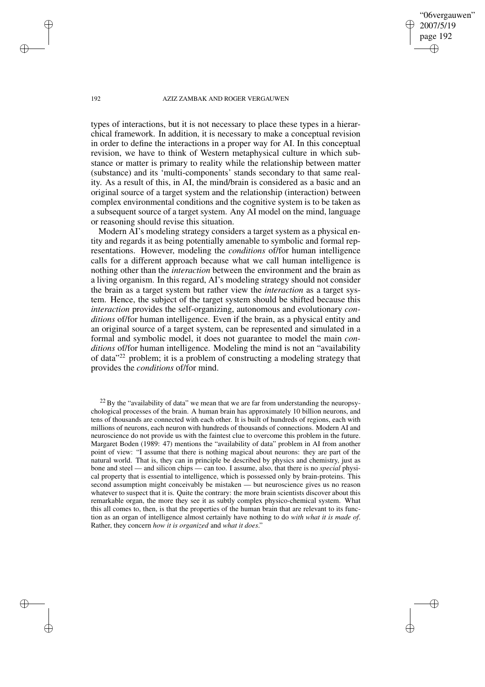"06vergauwen" 2007/5/19 page 192 ✐ ✐

✐

✐

#### 192 AZIZ ZAMBAK AND ROGER VERGAUWEN

types of interactions, but it is not necessary to place these types in a hierarchical framework. In addition, it is necessary to make a conceptual revision in order to define the interactions in a proper way for AI. In this conceptual revision, we have to think of Western metaphysical culture in which substance or matter is primary to reality while the relationship between matter (substance) and its 'multi-components' stands secondary to that same reality. As a result of this, in AI, the mind/brain is considered as a basic and an original source of a target system and the relationship (interaction) between complex environmental conditions and the cognitive system is to be taken as a subsequent source of a target system. Any AI model on the mind, language or reasoning should revise this situation.

Modern AI's modeling strategy considers a target system as a physical entity and regards it as being potentially amenable to symbolic and formal representations. However, modeling the *conditions* of/for human intelligence calls for a different approach because what we call human intelligence is nothing other than the *interaction* between the environment and the brain as a living organism. In this regard, AI's modeling strategy should not consider the brain as a target system but rather view the *interaction* as a target system. Hence, the subject of the target system should be shifted because this *interaction* provides the self-organizing, autonomous and evolutionary *conditions* of/for human intelligence. Even if the brain, as a physical entity and an original source of a target system, can be represented and simulated in a formal and symbolic model, it does not guarantee to model the main *conditions* of/for human intelligence. Modeling the mind is not an "availability of data"<sup>22</sup> problem; it is a problem of constructing a modeling strategy that provides the *conditions* of/for mind.

 $^{22}$  By the "availability of data" we mean that we are far from understanding the neuropsychological processes of the brain. A human brain has approximately 10 billion neurons, and tens of thousands are connected with each other. It is built of hundreds of regions, each with millions of neurons, each neuron with hundreds of thousands of connections. Modern AI and neuroscience do not provide us with the faintest clue to overcome this problem in the future. Margaret Boden (1989: 47) mentions the "availability of data" problem in AI from another point of view: "I assume that there is nothing magical about neurons: they are part of the natural world. That is, they can in principle be described by physics and chemistry, just as bone and steel — and silicon chips — can too. I assume, also, that there is no *special* physical property that is essential to intelligence, which is possessed only by brain-proteins. This second assumption might conceivably be mistaken — but neuroscience gives us no reason whatever to suspect that it is. Quite the contrary: the more brain scientists discover about this remarkable organ, the more they see it as subtly complex physico-chemical system. What this all comes to, then, is that the properties of the human brain that are relevant to its function as an organ of intelligence almost certainly have nothing to do *with what it is made of*. Rather, they concern *how it is organized* and *what it does*."

✐

✐

✐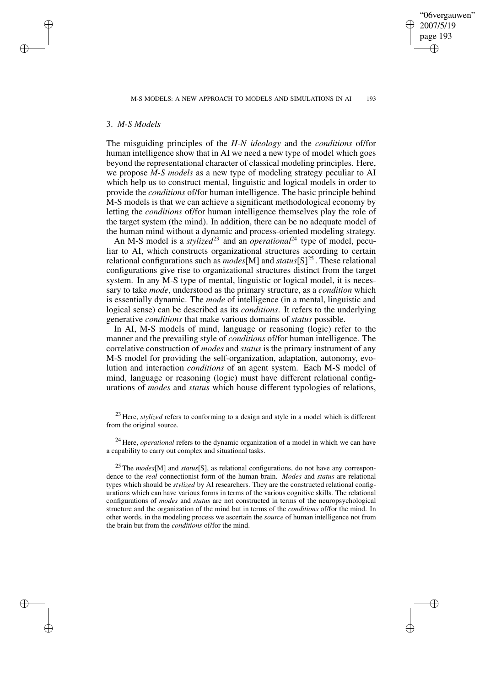✐

## 3. *M-S Models*

✐

✐

✐

✐

The misguiding principles of the *H-N ideology* and the *conditions* of/for human intelligence show that in AI we need a new type of model which goes beyond the representational character of classical modeling principles. Here, we propose *M-S models* as a new type of modeling strategy peculiar to AI which help us to construct mental, linguistic and logical models in order to provide the *conditions* of/for human intelligence. The basic principle behind M-S models is that we can achieve a significant methodological economy by letting the *conditions* of/for human intelligence themselves play the role of the target system (the mind). In addition, there can be no adequate model of the human mind without a dynamic and process-oriented modeling strategy.

An M-S model is a *stylized*<sup>23</sup> and an *operational*<sup>24</sup> type of model, peculiar to AI, which constructs organizational structures according to certain relational configurations such as  $modes[M]$  and  $status[S]^{25}$ . These relational configurations give rise to organizational structures distinct from the target system. In any M-S type of mental, linguistic or logical model, it is necessary to take *mode*, understood as the primary structure, as a *condition* which is essentially dynamic. The *mode* of intelligence (in a mental, linguistic and logical sense) can be described as its *conditions*. It refers to the underlying generative *conditions* that make various domains of *status* possible.

In AI, M-S models of mind, language or reasoning (logic) refer to the manner and the prevailing style of *conditions* of/for human intelligence. The correlative construction of *modes* and *status* is the primary instrument of any M-S model for providing the self-organization, adaptation, autonomy, evolution and interaction *conditions* of an agent system. Each M-S model of mind, language or reasoning (logic) must have different relational configurations of *modes* and *status* which house different typologies of relations,

<sup>&</sup>lt;sup>23</sup> Here, *stylized* refers to conforming to a design and style in a model which is different from the original source.

<sup>24</sup> Here, *operational* refers to the dynamic organization of a model in which we can have a capability to carry out complex and situational tasks.

<sup>25</sup> The *modes*[M] and *status*[S], as relational configurations, do not have any correspondence to the *real* connectionist form of the human brain. *Modes* and *status* are relational types which should be *stylized* by AI researchers. They are the constructed relational configurations which can have various forms in terms of the various cognitive skills. The relational configurations of *modes* and *status* are not constructed in terms of the neuropsychological structure and the organization of the mind but in terms of the *conditions* of/for the mind. In other words, in the modeling process we ascertain the *source* of human intelligence not from the brain but from the *conditions* of/for the mind.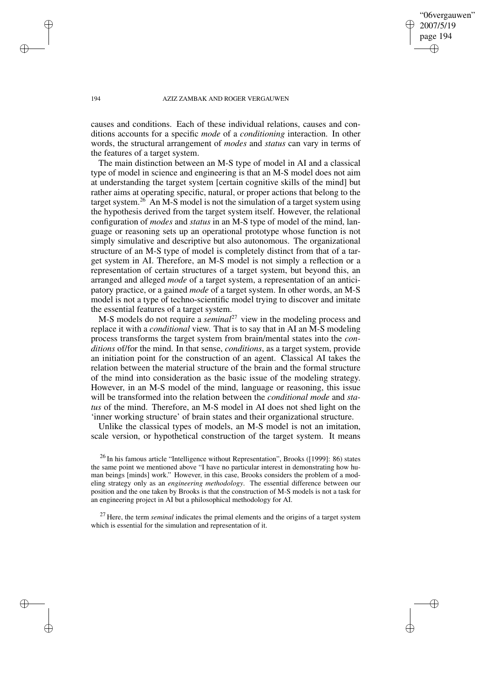"06vergauwen" 2007/5/19 page 194 ✐ ✐

✐

✐

#### 194 AZIZ ZAMBAK AND ROGER VERGAUWEN

causes and conditions. Each of these individual relations, causes and conditions accounts for a specific *mode* of a *conditioning* interaction. In other words, the structural arrangement of *modes* and *status* can vary in terms of the features of a target system.

The main distinction between an M-S type of model in AI and a classical type of model in science and engineering is that an M-S model does not aim at understanding the target system [certain cognitive skills of the mind] but rather aims at operating specific, natural, or proper actions that belong to the target system.<sup>26</sup> An M-S model is not the simulation of a target system using the hypothesis derived from the target system itself. However, the relational configuration of *modes* and *status* in an M-S type of model of the mind, language or reasoning sets up an operational prototype whose function is not simply simulative and descriptive but also autonomous. The organizational structure of an M-S type of model is completely distinct from that of a target system in AI. Therefore, an M-S model is not simply a reflection or a representation of certain structures of a target system, but beyond this, an arranged and alleged *mode* of a target system, a representation of an anticipatory practice, or a gained *mode* of a target system. In other words, an M-S model is not a type of techno-scientific model trying to discover and imitate the essential features of a target system.

M-S models do not require a *seminal*<sup>27</sup> view in the modeling process and replace it with a *conditional* view. That is to say that in AI an M-S modeling process transforms the target system from brain/mental states into the *conditions* of/for the mind. In that sense, *conditions*, as a target system, provide an initiation point for the construction of an agent. Classical AI takes the relation between the material structure of the brain and the formal structure of the mind into consideration as the basic issue of the modeling strategy. However, in an M-S model of the mind, language or reasoning, this issue will be transformed into the relation between the *conditional mode* and *status* of the mind. Therefore, an M-S model in AI does not shed light on the 'inner working structure' of brain states and their organizational structure.

Unlike the classical types of models, an M-S model is not an imitation, scale version, or hypothetical construction of the target system. It means

 $^{26}$  In his famous article "Intelligence without Representation", Brooks ([1999]: 86) states the same point we mentioned above "I have no particular interest in demonstrating how human beings [minds] work." However, in this case, Brooks considers the problem of a modeling strategy only as an *engineering methodology*. The essential difference between our position and the one taken by Brooks is that the construction of M-S models is not a task for an engineering project in AI but a philosophical methodology for AI.

<sup>27</sup> Here, the term *seminal* indicates the primal elements and the origins of a target system which is essential for the simulation and representation of it.

✐

✐

✐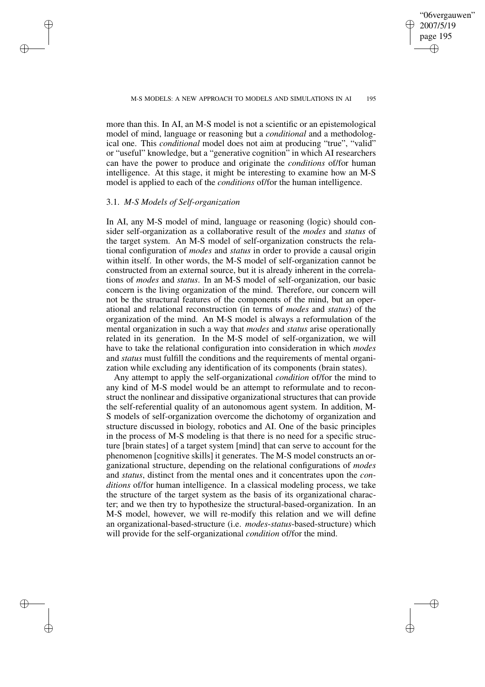✐

more than this. In AI, an M-S model is not a scientific or an epistemological model of mind, language or reasoning but a *conditional* and a methodological one. This *conditional* model does not aim at producing "true", "valid" or "useful" knowledge, but a "generative cognition" in which AI researchers can have the power to produce and originate the *conditions* of/for human intelligence. At this stage, it might be interesting to examine how an M-S model is applied to each of the *conditions* of/for the human intelligence.

# 3.1. *M-S Models of Self-organization*

✐

✐

✐

✐

In AI, any M-S model of mind, language or reasoning (logic) should consider self-organization as a collaborative result of the *modes* and *status* of the target system. An M-S model of self-organization constructs the relational configuration of *modes* and *status* in order to provide a causal origin within itself. In other words, the M-S model of self-organization cannot be constructed from an external source, but it is already inherent in the correlations of *modes* and *status*. In an M-S model of self-organization, our basic concern is the living organization of the mind. Therefore, our concern will not be the structural features of the components of the mind, but an operational and relational reconstruction (in terms of *modes* and *status*) of the organization of the mind. An M-S model is always a reformulation of the mental organization in such a way that *modes* and *status* arise operationally related in its generation. In the M-S model of self-organization, we will have to take the relational configuration into consideration in which *modes* and *status* must fulfill the conditions and the requirements of mental organization while excluding any identification of its components (brain states).

Any attempt to apply the self-organizational *condition* of/for the mind to any kind of M-S model would be an attempt to reformulate and to reconstruct the nonlinear and dissipative organizational structures that can provide the self-referential quality of an autonomous agent system. In addition, M-S models of self-organization overcome the dichotomy of organization and structure discussed in biology, robotics and AI. One of the basic principles in the process of M-S modeling is that there is no need for a specific structure [brain states] of a target system [mind] that can serve to account for the phenomenon [cognitive skills] it generates. The M-S model constructs an organizational structure, depending on the relational configurations of *modes* and *status*, distinct from the mental ones and it concentrates upon the *conditions* of/for human intelligence. In a classical modeling process, we take the structure of the target system as the basis of its organizational character; and we then try to hypothesize the structural-based-organization. In an M-S model, however, we will re-modify this relation and we will define an organizational-based-structure (i.e. *modes*-*status*-based-structure) which will provide for the self-organizational *condition* of/for the mind.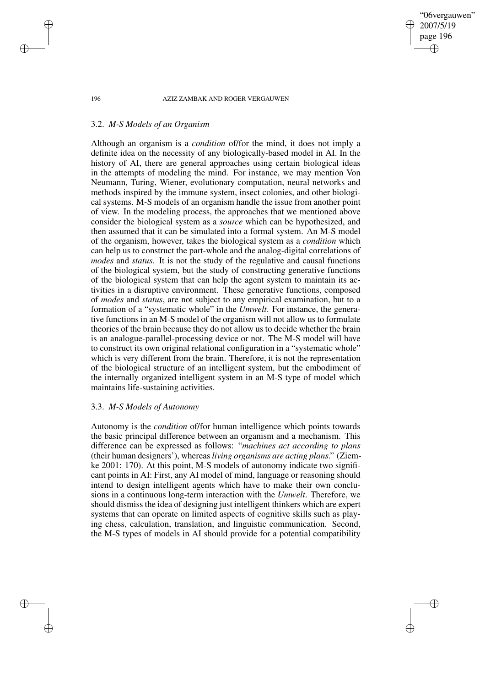# "06vergauwen" 2007/5/19 page 196 ✐ ✐

✐

✐

### 196 AZIZ ZAMBAK AND ROGER VERGAUWEN

## 3.2. *M-S Models of an Organism*

Although an organism is a *condition* of/for the mind, it does not imply a definite idea on the necessity of any biologically-based model in AI. In the history of AI, there are general approaches using certain biological ideas in the attempts of modeling the mind. For instance, we may mention Von Neumann, Turing, Wiener, evolutionary computation, neural networks and methods inspired by the immune system, insect colonies, and other biological systems. M-S models of an organism handle the issue from another point of view. In the modeling process, the approaches that we mentioned above consider the biological system as a *source* which can be hypothesized, and then assumed that it can be simulated into a formal system. An M-S model of the organism, however, takes the biological system as a *condition* which can help us to construct the part-whole and the analog-digital correlations of *modes* and *status*. It is not the study of the regulative and causal functions of the biological system, but the study of constructing generative functions of the biological system that can help the agent system to maintain its activities in a disruptive environment. These generative functions, composed of *modes* and *status*, are not subject to any empirical examination, but to a formation of a "systematic whole" in the *Umwelt*. For instance, the generative functions in an M-S model of the organism will not allow us to formulate theories of the brain because they do not allow us to decide whether the brain is an analogue-parallel-processing device or not. The M-S model will have to construct its own original relational configuration in a "systematic whole" which is very different from the brain. Therefore, it is not the representation of the biological structure of an intelligent system, but the embodiment of the internally organized intelligent system in an M-S type of model which maintains life-sustaining activities.

## 3.3. *M-S Models of Autonomy*

Autonomy is the *condition* of/for human intelligence which points towards the basic principal difference between an organism and a mechanism. This difference can be expressed as follows: "*machines act according to plans* (their human designers'), whereas*living organisms are acting plans*." (Ziemke 2001: 170). At this point, M-S models of autonomy indicate two significant points in AI: First, any AI model of mind, language or reasoning should intend to design intelligent agents which have to make their own conclusions in a continuous long-term interaction with the *Umwelt*. Therefore, we should dismiss the idea of designing just intelligent thinkers which are expert systems that can operate on limited aspects of cognitive skills such as playing chess, calculation, translation, and linguistic communication. Second, the M-S types of models in AI should provide for a potential compatibility

✐

✐

✐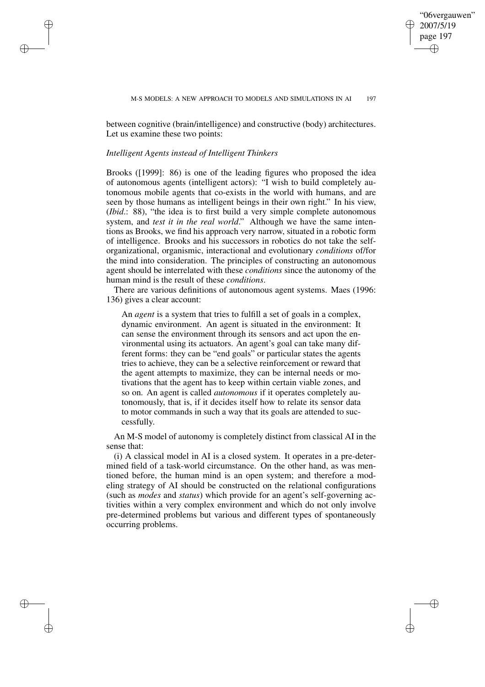✐

between cognitive (brain/intelligence) and constructive (body) architectures. Let us examine these two points:

## *Intelligent Agents instead of Intelligent Thinkers*

✐

✐

✐

✐

Brooks ([1999]: 86) is one of the leading figures who proposed the idea of autonomous agents (intelligent actors): "I wish to build completely autonomous mobile agents that co-exists in the world with humans, and are seen by those humans as intelligent beings in their own right." In his view, (*Ibid*.: 88), "the idea is to first build a very simple complete autonomous system, and *test it in the real world*." Although we have the same intentions as Brooks, we find his approach very narrow, situated in a robotic form of intelligence. Brooks and his successors in robotics do not take the selforganizational, organismic, interactional and evolutionary *conditions* of/for the mind into consideration. The principles of constructing an autonomous agent should be interrelated with these *conditions* since the autonomy of the human mind is the result of these *conditions*.

There are various definitions of autonomous agent systems. Maes (1996: 136) gives a clear account:

An *agent* is a system that tries to fulfill a set of goals in a complex, dynamic environment. An agent is situated in the environment: It can sense the environment through its sensors and act upon the environmental using its actuators. An agent's goal can take many different forms: they can be "end goals" or particular states the agents tries to achieve, they can be a selective reinforcement or reward that the agent attempts to maximize, they can be internal needs or motivations that the agent has to keep within certain viable zones, and so on. An agent is called *autonomous* if it operates completely autonomously, that is, if it decides itself how to relate its sensor data to motor commands in such a way that its goals are attended to successfully.

An M-S model of autonomy is completely distinct from classical AI in the sense that:

(i) A classical model in AI is a closed system. It operates in a pre-determined field of a task-world circumstance. On the other hand, as was mentioned before, the human mind is an open system; and therefore a modeling strategy of AI should be constructed on the relational configurations (such as *modes* and *status*) which provide for an agent's self-governing activities within a very complex environment and which do not only involve pre-determined problems but various and different types of spontaneously occurring problems.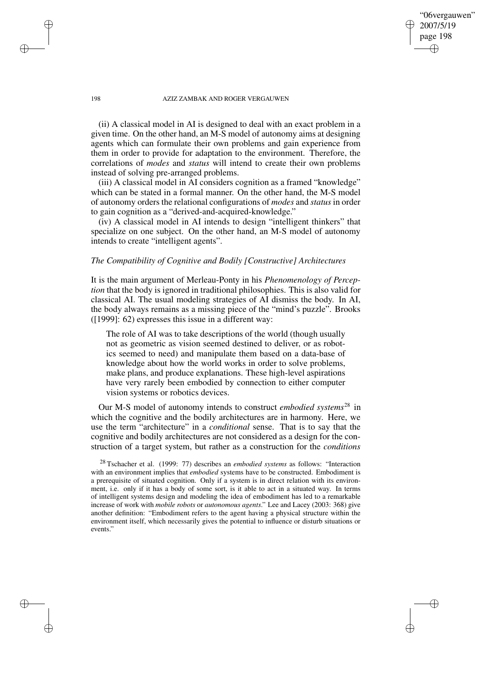"06vergauwen" 2007/5/19 page 198

✐

✐

✐

✐

(ii) A classical model in AI is designed to deal with an exact problem in a given time. On the other hand, an M-S model of autonomy aims at designing agents which can formulate their own problems and gain experience from them in order to provide for adaptation to the environment. Therefore, the correlations of *modes* and *status* will intend to create their own problems instead of solving pre-arranged problems.

(iii) A classical model in AI considers cognition as a framed "knowledge" which can be stated in a formal manner. On the other hand, the M-S model of autonomy orders the relational configurations of *modes* and *status* in order to gain cognition as a "derived-and-acquired-knowledge."

(iv) A classical model in AI intends to design "intelligent thinkers" that specialize on one subject. On the other hand, an M-S model of autonomy intends to create "intelligent agents".

# *The Compatibility of Cognitive and Bodily [Constructive] Architectures*

It is the main argument of Merleau-Ponty in his *Phenomenology of Perception* that the body is ignored in traditional philosophies. This is also valid for classical AI. The usual modeling strategies of AI dismiss the body. In AI, the body always remains as a missing piece of the "mind's puzzle". Brooks ([1999]: 62) expresses this issue in a different way:

The role of AI was to take descriptions of the world (though usually not as geometric as vision seemed destined to deliver, or as robotics seemed to need) and manipulate them based on a data-base of knowledge about how the world works in order to solve problems, make plans, and produce explanations. These high-level aspirations have very rarely been embodied by connection to either computer vision systems or robotics devices.

Our M-S model of autonomy intends to construct *embodied systems*<sup>28</sup> in which the cognitive and the bodily architectures are in harmony. Here, we use the term "architecture" in a *conditional* sense. That is to say that the cognitive and bodily architectures are not considered as a design for the construction of a target system, but rather as a construction for the *conditions*

<sup>28</sup> Tschacher et al. (1999: 77) describes an *embodied systems* as follows: "Interaction with an environment implies that *embodied* systems have to be constructed. Embodiment is a prerequisite of situated cognition. Only if a system is in direct relation with its environment, i.e. only if it has a body of some sort, is it able to act in a situated way. In terms of intelligent systems design and modeling the idea of embodiment has led to a remarkable increase of work with *mobile robots* or *autonomous agents*." Lee and Lacey (2003: 368) give another definition: "Embodiment refers to the agent having a physical structure within the environment itself, which necessarily gives the potential to influence or disturb situations or events."

✐

✐

✐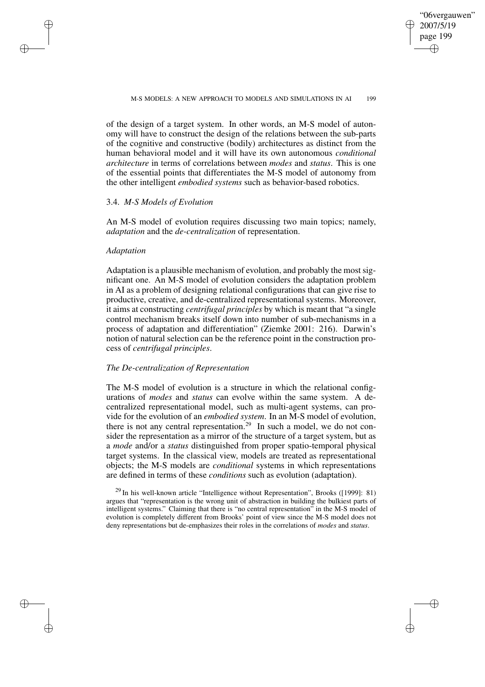✐

of the design of a target system. In other words, an M-S model of autonomy will have to construct the design of the relations between the sub-parts of the cognitive and constructive (bodily) architectures as distinct from the human behavioral model and it will have its own autonomous *conditional architecture* in terms of correlations between *modes* and *status*. This is one of the essential points that differentiates the M-S model of autonomy from the other intelligent *embodied systems* such as behavior-based robotics.

# 3.4. *M-S Models of Evolution*

An M-S model of evolution requires discussing two main topics; namely, *adaptation* and the *de-centralization* of representation.

## *Adaptation*

✐

✐

✐

✐

Adaptation is a plausible mechanism of evolution, and probably the most significant one. An M-S model of evolution considers the adaptation problem in AI as a problem of designing relational configurations that can give rise to productive, creative, and de-centralized representational systems. Moreover, it aims at constructing *centrifugal principles* by which is meant that "a single control mechanism breaks itself down into number of sub-mechanisms in a process of adaptation and differentiation" (Ziemke 2001: 216). Darwin's notion of natural selection can be the reference point in the construction process of *centrifugal principles*.

## *The De-centralization of Representation*

The M-S model of evolution is a structure in which the relational configurations of *modes* and *status* can evolve within the same system. A decentralized representational model, such as multi-agent systems, can provide for the evolution of an *embodied system*. In an M-S model of evolution, there is not any central representation.<sup>29</sup> In such a model, we do not consider the representation as a mirror of the structure of a target system, but as a *mode* and/or a *status* distinguished from proper spatio-temporal physical target systems. In the classical view, models are treated as representational objects; the M-S models are *conditional* systems in which representations are defined in terms of these *conditions* such as evolution (adaptation).

 $^{29}$  In his well-known article "Intelligence without Representation", Brooks ([1999]: 81) argues that "representation is the wrong unit of abstraction in building the bulkiest parts of intelligent systems." Claiming that there is "no central representation" in the M-S model of evolution is completely different from Brooks' point of view since the M-S model does not deny representations but de-emphasizes their roles in the correlations of *modes* and *status*.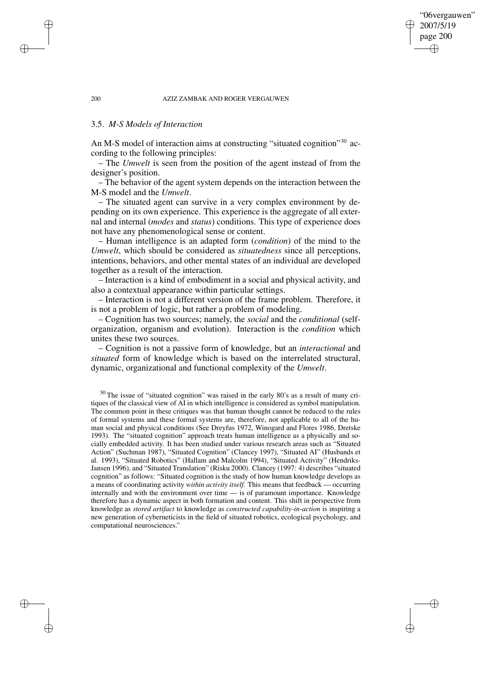"06vergauwen" 2007/5/19 page 200

✐

✐

✐

✐

# 3.5. *M-S Models of Interaction*

An M-S model of interaction aims at constructing "situated cognition"<sup>30</sup> according to the following principles:

– The *Umwelt* is seen from the position of the agent instead of from the designer's position.

– The behavior of the agent system depends on the interaction between the M-S model and the *Umwelt*.

– The situated agent can survive in a very complex environment by depending on its own experience. This experience is the aggregate of all external and internal (*modes* and *status*) conditions. This type of experience does not have any phenomenological sense or content.

– Human intelligence is an adapted form (*condition*) of the mind to the *Umwelt*, which should be considered as *situatedness* since all perceptions, intentions, behaviors, and other mental states of an individual are developed together as a result of the interaction.

– Interaction is a kind of embodiment in a social and physical activity, and also a contextual appearance within particular settings.

– Interaction is not a different version of the frame problem. Therefore, it is not a problem of logic, but rather a problem of modeling.

– Cognition has two sources; namely, the *social* and the *conditional* (selforganization, organism and evolution). Interaction is the *condition* which unites these two sources.

– Cognition is not a passive form of knowledge, but an *interactional* and *situated* form of knowledge which is based on the interrelated structural, dynamic, organizational and functional complexity of the *Umwelt*.

✐

✐

✐

<sup>30</sup> The issue of "situated cognition" was raised in the early 80's as a result of many critiques of the classical view of AI in which intelligence is considered as symbol manipulation. The common point in these critiques was that human thought cannot be reduced to the rules of formal systems and these formal systems are, therefore, not applicable to all of the human social and physical conditions (See Dreyfus 1972, Winogard and Flores 1986, Dretske 1993). The "situated cognition" approach treats human intelligence as a physically and socially embedded activity. It has been studied under various research areas such as "Situated Action" (Suchman 1987), "Situated Cognition" (Clancey 1997), "Situated AI" (Husbands et al. 1993), "Situated Robotics" (Hallam and Malcolm 1994), "Situated Activity" (Hendriks-Jansen 1996), and "Situated Translation" (Risku 2000). Clancey (1997: 4) describes "situated cognition" as follows: "Situated cognition is the study of how human knowledge develops as a means of coordinating activity *within activity itself*. This means that feedback — occurring internally and with the environment over time — is of paramount importance. Knowledge therefore has a dynamic aspect in both formation and content. This shift in perspective from knowledge as *stored artifact* to knowledge as *constructed capability-in-action* is inspiring a new generation of cyberneticists in the field of situated robotics, ecological psychology, and computational neurosciences."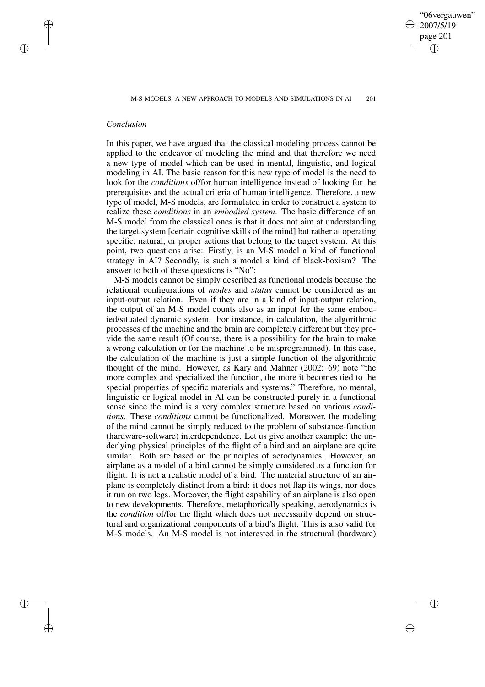"06vergauwen" 2007/5/19 page 201 ✐ ✐

✐

✐

# *Conclusion*

✐

✐

✐

✐

In this paper, we have argued that the classical modeling process cannot be applied to the endeavor of modeling the mind and that therefore we need a new type of model which can be used in mental, linguistic, and logical modeling in AI. The basic reason for this new type of model is the need to look for the *conditions* of/for human intelligence instead of looking for the prerequisites and the actual criteria of human intelligence. Therefore, a new type of model, M-S models, are formulated in order to construct a system to realize these *conditions* in an *embodied system*. The basic difference of an M-S model from the classical ones is that it does not aim at understanding the target system [certain cognitive skills of the mind] but rather at operating specific, natural, or proper actions that belong to the target system. At this point, two questions arise: Firstly, is an M-S model a kind of functional strategy in AI? Secondly, is such a model a kind of black-boxism? The answer to both of these questions is "No":

M-S models cannot be simply described as functional models because the relational configurations of *modes* and *status* cannot be considered as an input-output relation. Even if they are in a kind of input-output relation, the output of an M-S model counts also as an input for the same embodied/situated dynamic system. For instance, in calculation, the algorithmic processes of the machine and the brain are completely different but they provide the same result (Of course, there is a possibility for the brain to make a wrong calculation or for the machine to be misprogrammed). In this case, the calculation of the machine is just a simple function of the algorithmic thought of the mind. However, as Kary and Mahner (2002: 69) note "the more complex and specialized the function, the more it becomes tied to the special properties of specific materials and systems." Therefore, no mental, linguistic or logical model in AI can be constructed purely in a functional sense since the mind is a very complex structure based on various *conditions*. These *conditions* cannot be functionalized. Moreover, the modeling of the mind cannot be simply reduced to the problem of substance-function (hardware-software) interdependence. Let us give another example: the underlying physical principles of the flight of a bird and an airplane are quite similar. Both are based on the principles of aerodynamics. However, an airplane as a model of a bird cannot be simply considered as a function for flight. It is not a realistic model of a bird. The material structure of an airplane is completely distinct from a bird: it does not flap its wings, nor does it run on two legs. Moreover, the flight capability of an airplane is also open to new developments. Therefore, metaphorically speaking, aerodynamics is the *condition* of/for the flight which does not necessarily depend on structural and organizational components of a bird's flight. This is also valid for M-S models. An M-S model is not interested in the structural (hardware)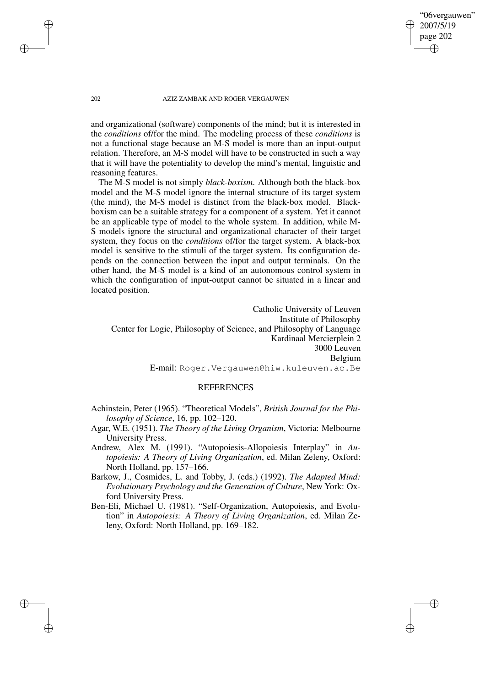"06vergauwen" 2007/5/19 page 202

✐

✐

✐

✐

and organizational (software) components of the mind; but it is interested in the *conditions* of/for the mind. The modeling process of these *conditions* is not a functional stage because an M-S model is more than an input-output relation. Therefore, an M-S model will have to be constructed in such a way that it will have the potentiality to develop the mind's mental, linguistic and reasoning features.

The M-S model is not simply *black-boxism*. Although both the black-box model and the M-S model ignore the internal structure of its target system (the mind), the M-S model is distinct from the black-box model. Blackboxism can be a suitable strategy for a component of a system. Yet it cannot be an applicable type of model to the whole system. In addition, while M-S models ignore the structural and organizational character of their target system, they focus on the *conditions* of/for the target system. A black-box model is sensitive to the stimuli of the target system. Its configuration depends on the connection between the input and output terminals. On the other hand, the M-S model is a kind of an autonomous control system in which the configuration of input-output cannot be situated in a linear and located position.

Catholic University of Leuven Institute of Philosophy Center for Logic, Philosophy of Science, and Philosophy of Language Kardinaal Mercierplein 2 3000 Leuven Belgium E-mail: Roger.Vergauwen@hiw.kuleuven.ac.Be

# **REFERENCES**

- Achinstein, Peter (1965). "Theoretical Models", *British Journal for the Philosophy of Science*, 16, pp. 102–120.
- Agar, W.E. (1951). *The Theory of the Living Organism*, Victoria: Melbourne University Press.
- Andrew, Alex M. (1991). "Autopoiesis-Allopoiesis Interplay" in *Autopoiesis: A Theory of Living Organization*, ed. Milan Zeleny, Oxford: North Holland, pp. 157–166.
- Barkow, J., Cosmides, L. and Tobby, J. (eds.) (1992). *The Adapted Mind: Evolutionary Psychology and the Generation of Culture*, New York: Oxford University Press.
- Ben-Eli, Michael U. (1981). "Self-Organization, Autopoiesis, and Evolution" in *Autopoiesis: A Theory of Living Organization*, ed. Milan Zeleny, Oxford: North Holland, pp. 169–182.

✐

✐

✐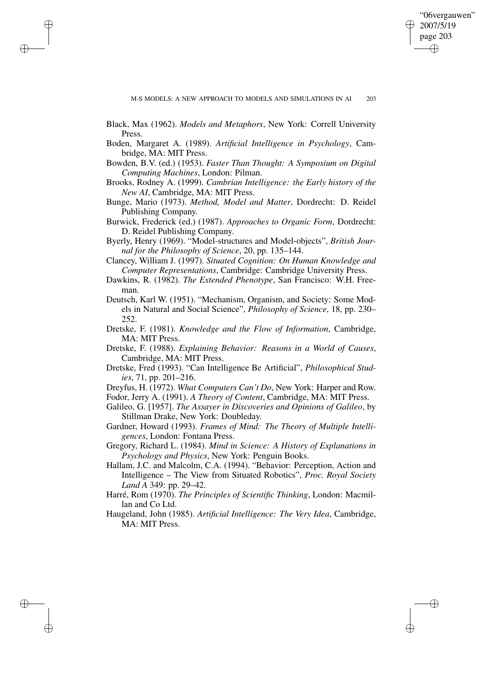✐

Black, Max (1962). *Models and Metaphors*, New York: Correll University Press.

✐

✐

✐

- Boden, Margaret A. (1989). *Artificial Intelligence in Psychology*, Cambridge, MA: MIT Press.
- Bowden, B.V. (ed.) (1953). *Faster Than Thought: A Symposium on Digital Computing Machines*, London: Pilman.
- Brooks, Rodney A. (1999). *Cambrian Intelligence: the Early history of the New AI*, Cambridge, MA: MIT Press.
- Bunge, Mario (1973). *Method, Model and Matter*, Dordrecht: D. Reidel Publishing Company.
- Burwick, Frederick (ed.) (1987). *Approaches to Organic Form*, Dordrecht: D. Reidel Publishing Company.
- Byerly, Henry (1969). "Model-structures and Model-objects", *British Journal for the Philosophy of Science*, 20, pp. 135–144.
- Clancey, William J. (1997). *Situated Cognition: On Human Knowledge and Computer Representations*, Cambridge: Cambridge University Press.
- Dawkins, R. (1982). *The Extended Phenotype*, San Francisco: W.H. Freeman.
- Deutsch, Karl W. (1951). "Mechanism, Organism, and Society: Some Models in Natural and Social Science", *Philosophy of Science*, 18, pp. 230– 252.
- Dretske, F. (1981). *Knowledge and the Flow of Information*, Cambridge, MA: MIT Press.
- Dretske, F. (1988). *Explaining Behavior: Reasons in a World of Causes*, Cambridge, MA: MIT Press.
- Dretske, Fred (1993). "Can Intelligence Be Artificial", *Philosophical Studies*, 71, pp. 201–216.
- Dreyfus, H. (1972). *What Computers Can't Do*, New York: Harper and Row.
- Fodor, Jerry A. (1991). *A Theory of Content*, Cambridge, MA: MIT Press.
- Galileo, G. [1957]. *The Assayer in Discoveries and Opinions of Galileo*, by Stillman Drake, New York: Doubleday.
- Gardner, Howard (1993). *Frames of Mind: The Theory of Multiple Intelligences*, London: Fontana Press.
- Gregory, Richard L. (1984). *Mind in Science: A History of Explanations in Psychology and Physics*, New York: Penguin Books.
- Hallam, J.C. and Malcolm, C.A. (1994). "Behavior: Perception, Action and Intelligence – The View from Situated Robotics", *Proc. Royal Society Land A* 349: pp. 29–42.
- Harré, Rom (1970). *The Principles of Scientific Thinking*, London: Macmillan and Co Ltd.
- Haugeland, John (1985). *Artificial Intelligence: The Very Idea*, Cambridge, MA: MIT Press.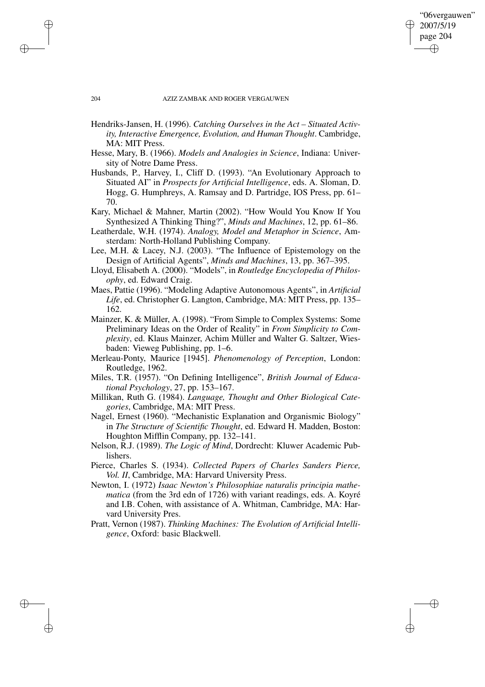"06vergauwen" 2007/5/19 page 204 ✐ ✐

✐

✐

#### 204 AZIZ ZAMBAK AND ROGER VERGAUWEN

- Hendriks-Jansen, H. (1996). *Catching Ourselves in the Act – Situated Activity, Interactive Emergence, Evolution, and Human Thought*. Cambridge, MA: MIT Press.
- Hesse, Mary, B. (1966). *Models and Analogies in Science*, Indiana: University of Notre Dame Press.
- Husbands, P., Harvey, I., Cliff D. (1993). "An Evolutionary Approach to Situated AI" in *Prospects for Artificial Intelligence*, eds. A. Sloman, D. Hogg, G. Humphreys, A. Ramsay and D. Partridge, IOS Press, pp. 61– 70.
- Kary, Michael & Mahner, Martin (2002). "How Would You Know If You Synthesized A Thinking Thing?", *Minds and Machines*, 12, pp. 61–86.
- Leatherdale, W.H. (1974). *Analogy, Model and Metaphor in Science*, Amsterdam: North-Holland Publishing Company.
- Lee, M.H. & Lacey, N.J. (2003). "The Influence of Epistemology on the Design of Artificial Agents", *Minds and Machines*, 13, pp. 367–395.
- Lloyd, Elisabeth A. (2000). "Models", in *Routledge Encyclopedia of Philosophy*, ed. Edward Craig.
- Maes, Pattie (1996). "Modeling Adaptive Autonomous Agents", in *Artificial Life*, ed. Christopher G. Langton, Cambridge, MA: MIT Press, pp. 135– 162.
- Mainzer, K. & Müller, A. (1998). "From Simple to Complex Systems: Some Preliminary Ideas on the Order of Reality" in *From Simplicity to Complexity*, ed. Klaus Mainzer, Achim Müller and Walter G. Saltzer, Wiesbaden: Vieweg Publishing, pp. 1–6.
- Merleau-Ponty, Maurice [1945]. *Phenomenology of Perception*, London: Routledge, 1962.
- Miles, T.R. (1957). "On Defining Intelligence", *British Journal of Educational Psychology*, 27, pp. 153–167.
- Millikan, Ruth G. (1984). *Language, Thought and Other Biological Categories*, Cambridge, MA: MIT Press.
- Nagel, Ernest (1960). "Mechanistic Explanation and Organismic Biology" in *The Structure of Scientific Thought*, ed. Edward H. Madden, Boston: Houghton Mifflin Company, pp. 132–141.
- Nelson, R.J. (1989). *The Logic of Mind*, Dordrecht: Kluwer Academic Publishers.
- Pierce, Charles S. (1934). *Collected Papers of Charles Sanders Pierce, Vol. II*, Cambridge, MA: Harvard University Press.
- Newton, I. (1972) *Isaac Newton's Philosophiae naturalis principia mathematica* (from the 3rd edn of 1726) with variant readings, eds. A. Koyré and I.B. Cohen, with assistance of A. Whitman, Cambridge, MA: Harvard University Pres.
- Pratt, Vernon (1987). *Thinking Machines: The Evolution of Artificial Intelligence*, Oxford: basic Blackwell.

✐

✐

✐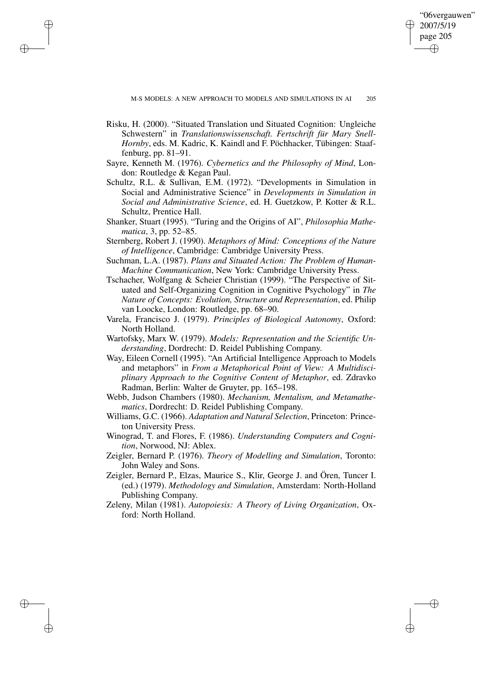"06vergauwen" 2007/5/19 page 205 ✐ ✐

✐

✐

Risku, H. (2000). "Situated Translation und Situated Cognition: Ungleiche Schwestern" in *Translationswissenschaft. Fertschrift für Mary Snell-Hornby*, eds. M. Kadric, K. Kaindl and F. Pöchhacker, Tübingen: Staaffenburg, pp. 81–91.

✐

✐

✐

- Sayre, Kenneth M. (1976). *Cybernetics and the Philosophy of Mind*, London: Routledge & Kegan Paul.
- Schultz, R.L. & Sullivan, E.M. (1972). "Developments in Simulation in Social and Administrative Science" in *Developments in Simulation in Social and Administrative Science*, ed. H. Guetzkow, P. Kotter & R.L. Schultz, Prentice Hall.
- Shanker, Stuart (1995). "Turing and the Origins of AI", *Philosophia Mathematica*, 3, pp. 52–85.
- Sternberg, Robert J. (1990). *Metaphors of Mind: Conceptions of the Nature of Intelligence*, Cambridge: Cambridge University Press.
- Suchman, L.A. (1987). *Plans and Situated Action: The Problem of Human-Machine Communication*, New York: Cambridge University Press.
- Tschacher, Wolfgang & Scheier Christian (1999). "The Perspective of Situated and Self-Organizing Cognition in Cognitive Psychology" in *The Nature of Concepts: Evolution, Structure and Representation*, ed. Philip van Loocke, London: Routledge, pp. 68–90.
- Varela, Francisco J. (1979). *Principles of Biological Autonomy*, Oxford: North Holland.
- Wartofsky, Marx W. (1979). *Models: Representation and the Scientific Understanding*, Dordrecht: D. Reidel Publishing Company.
- Way, Eileen Cornell (1995). "An Artificial Intelligence Approach to Models and metaphors" in *From a Metaphorical Point of View: A Multidisciplinary Approach to the Cognitive Content of Metaphor*, ed. Zdravko Radman, Berlin: Walter de Gruyter, pp. 165–198.
- Webb, Judson Chambers (1980). *Mechanism, Mentalism, and Metamathematics*, Dordrecht: D. Reidel Publishing Company.
- Williams, G.C. (1966). *Adaptation and Natural Selection*, Princeton: Princeton University Press.
- Winograd, T. and Flores, F. (1986). *Understanding Computers and Cognition*, Norwood, NJ: Ablex.
- Zeigler, Bernard P. (1976). *Theory of Modelling and Simulation*, Toronto: John Waley and Sons.
- Zeigler, Bernard P., Elzas, Maurice S., Klir, George J. and Ören, Tuncer I. (ed.) (1979). *Methodology and Simulation*, Amsterdam: North-Holland Publishing Company.
- Zeleny, Milan (1981). *Autopoiesis: A Theory of Living Organization*, Oxford: North Holland.